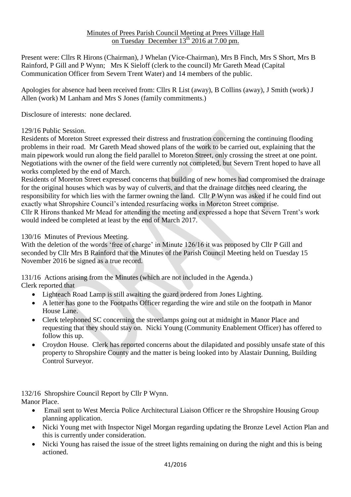Present were: Cllrs R Hirons (Chairman), J Whelan (Vice-Chairman), Mrs B Finch, Mrs S Short, Mrs B Rainford, P Gill and P Wynn; Mrs K Sieloff (clerk to the council) Mr Gareth Mead (Capital Communication Officer from Severn Trent Water) and 14 members of the public.

Apologies for absence had been received from: Cllrs R List (away), B Collins (away), J Smith (work) J Allen (work) M Lanham and Mrs S Jones (family commitments.)

Disclosure of interests: none declared.

#### 129/16 Public Session.

Residents of Moreton Street expressed their distress and frustration concerning the continuing flooding problems in their road. Mr Gareth Mead showed plans of the work to be carried out, explaining that the main pipework would run along the field parallel to Moreton Street, only crossing the street at one point. Negotiations with the owner of the field were currently not completed, but Severn Trent hoped to have all works completed by the end of March.

Residents of Moreton Street expressed concerns that building of new homes had compromised the drainage for the original houses which was by way of culverts, and that the drainage ditches need clearing, the responsibility for which lies with the farmer owning the land. Cllr P Wynn was asked if he could find out exactly what Shropshire Council's intended resurfacing works in Moreton Street comprise. Cllr R Hirons thanked Mr Mead for attending the meeting and expressed a hope that Severn Trent's work would indeed be completed at least by the end of March 2017.

#### 130/16 Minutes of Previous Meeting.

With the deletion of the words 'free of charge' in Minute 126/16 it was proposed by Cllr P Gill and seconded by Cllr Mrs B Rainford that the Minutes of the Parish Council Meeting held on Tuesday 15 November 2016 be signed as a true record.

131/16 Actions arising from the Minutes (which are not included in the Agenda.) Clerk reported that

- Lighteach Road Lamp is still awaiting the guard ordered from Jones Lighting.
- A letter has gone to the Footpaths Officer regarding the wire and stile on the footpath in Manor House Lane.
- Clerk telephoned SC concerning the streetlamps going out at midnight in Manor Place and requesting that they should stay on. Nicki Young (Community Enablement Officer) has offered to follow this up.
- Croydon House. Clerk has reported concerns about the dilapidated and possibly unsafe state of this property to Shropshire County and the matter is being looked into by Alastair Dunning, Building Control Surveyor.

132/16 Shropshire Council Report by Cllr P Wynn. Manor Place.

- Email sent to West Mercia Police Architectural Liaison Officer re the Shropshire Housing Group planning application.
- Nicki Young met with Inspector Nigel Morgan regarding updating the Bronze Level Action Plan and this is currently under consideration.
- Nicki Young has raised the issue of the street lights remaining on during the night and this is being actioned.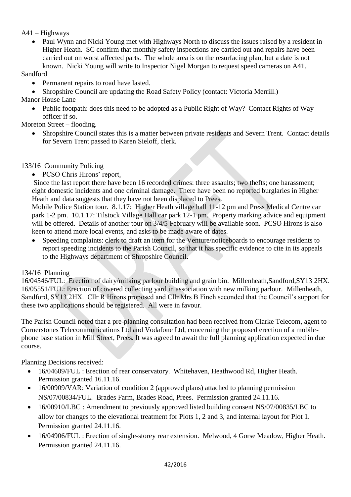# A41 – Highways

• Paul Wynn and Nicki Young met with Highways North to discuss the issues raised by a resident in Higher Heath. SC confirm that monthly safety inspections are carried out and repairs have been carried out on worst affected parts. The whole area is on the resurfacing plan, but a date is not known. Nicki Young will write to Inspector Nigel Morgan to request speed cameras on A41.

# Sandford

- Permanent repairs to road have lasted.
- Shropshire Council are updating the Road Safety Policy (contact: Victoria Merrill.)

Manor House Lane

• Public footpath: does this need to be adopted as a Public Right of Way? Contact Rights of Way officer if so.

Moreton Street – flooding.

 Shropshire Council states this is a matter between private residents and Severn Trent. Contact details for Severn Trent passed to Karen Sieloff, clerk.

# 133/16 Community Policing

• PCSO Chris Hirons' report.

Since the last report there have been 16 recorded crimes: three assaults; two thefts; one harassment; eight domestic incidents and one criminal damage. There have been no reported burglaries in Higher Heath and data suggests that they have not been displaced to Prees.

Mobile Police Station tour. 8.1.17: Higher Heath village hall 11-12 pm and Press Medical Centre car park 1-2 pm. 10.1.17: Tilstock Village Hall car park 12-1 pm. Property marking advice and equipment will be offered. Details of another tour on  $3/4/5$  February will be available soon. PCSO Hirons is also keen to attend more local events, and asks to be made aware of dates.

 Speeding complaints: clerk to draft an item for the Venture/noticeboards to encourage residents to report speeding incidents to the Parish Council, so that it has specific evidence to cite in its appeals to the Highways department of Shropshire Council.

# 134/16 Planning

16/04546/FUL: Erection of dairy/milking parlour building and grain bin. Millenheath,Sandford,SY13 2HX. 16/05551/FUL: Erection of covered collecting yard in association with new milking parlour. Millenheath, Sandford, SY13 2HX. Cllr R Hirons proposed and Cllr Mrs B Finch seconded that the Council's support for these two applications should be registered. All were in favour.

The Parish Council noted that a pre-planning consultation had been received from Clarke Telecom, agent to Cornerstones Telecommunications Ltd and Vodafone Ltd, concerning the proposed erection of a mobilephone base station in Mill Street, Prees. It was agreed to await the full planning application expected in due course.

Planning Decisions received:

- 16/04609/FUL : Erection of rear conservatory. Whitehaven, Heathwood Rd, Higher Heath. Permission granted 16.11.16.
- 16/00909/VAR: Variation of condition 2 (approved plans) attached to planning permission NS/07/00834/FUL. Brades Farm, Brades Road, Prees. Permission granted 24.11.16.
- 16/00910/LBC : Amendment to previously approved listed building consent NS/07/00835/LBC to allow for changes to the elevational treatment for Plots 1, 2 and 3, and internal layout for Plot 1. Permission granted 24.11.16.
- 16/04906/FUL : Erection of single-storey rear extension. Melwood, 4 Gorse Meadow, Higher Heath. Permission granted 24.11.16.